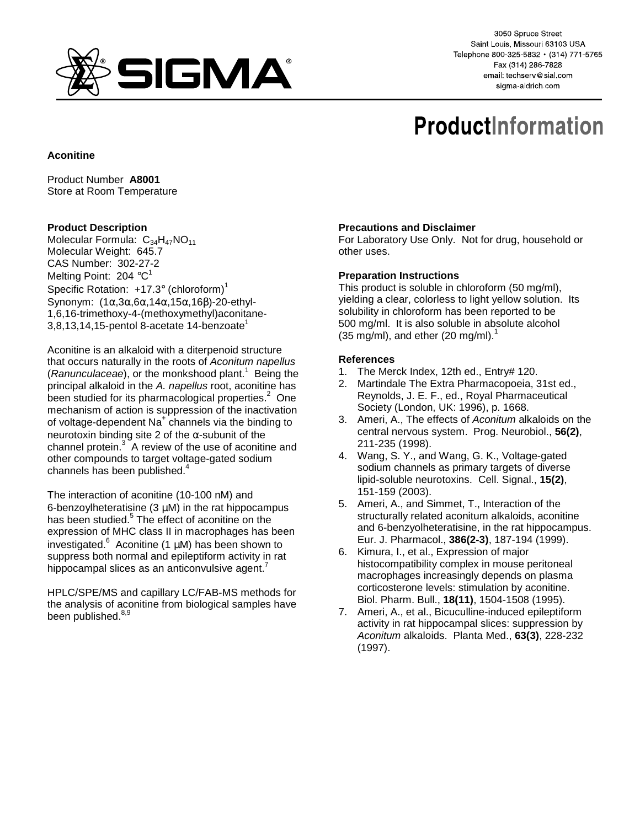

3050 Spruce Street Saint Louis, Missouri 63103 USA Telephone 800-325-5832 · (314) 771-5765 Fax (314) 286-7828 email: techserv@sial.com sigma-aldrich.com

# **ProductInformation**

## **Aconitine**

Product Number **A8001** Store at Room Temperature

### **Product Description**

Molecular Formula:  $C_{34}H_{47}NO_{11}$ Molecular Weight: 645.7 CAS Number: 302-27-2 Melting Point: 204  $^{\circ}$ C<sup>1</sup> Specific Rotation:  $+17.3^\circ$  (chloroform)<sup>1</sup> Synonym: (1α,3α,6α,14α,15α,16β)-20-ethyl-1,6,16-trimethoxy-4-(methoxymethyl)aconitane- $3,8,13,14,15$ -pentol 8-acetate 14-benzoate<sup>1</sup>

Aconitine is an alkaloid with a diterpenoid structure that occurs naturally in the roots of Aconitum napellus (Ranunculaceae), or the monkshood plant.<sup>1</sup> Being the principal alkaloid in the A. napellus root, aconitine has been studied for its pharmacological properties. $2$  One mechanism of action is suppression of the inactivation of voltage-dependent Na<sup>+</sup> channels via the binding to neurotoxin binding site 2 of the α-subunit of the channel protein. $3^{\circ}$  A review of the use of aconitine and other compounds to target voltage-gated sodium channels has been published.<sup>4</sup>

The interaction of aconitine (10-100 nM) and 6-benzoylheteratisine  $(3 \mu M)$  in the rat hippocampus has been studied.<sup>5</sup> The effect of aconitine on the expression of MHC class II in macrophages has been investigated. $^6$  Aconitine (1  $\mu$ M) has been shown to suppress both normal and epileptiform activity in rat hippocampal slices as an anticonvulsive agent.<sup>7</sup>

HPLC/SPE/MS and capillary LC/FAB-MS methods for the analysis of aconitine from biological samples have been published.<sup>8,9</sup>

### **Precautions and Disclaimer**

For Laboratory Use Only. Not for drug, household or other uses.

#### **Preparation Instructions**

This product is soluble in chloroform (50 mg/ml), yielding a clear, colorless to light yellow solution. Its solubility in chloroform has been reported to be 500 mg/ml. It is also soluble in absolute alcohol  $(35 \text{ mg/ml})$ , and ether  $(20 \text{ mg/ml})$ .<sup>1</sup>

### **References**

- 1. The Merck Index, 12th ed., Entry# 120.
- 2. Martindale The Extra Pharmacopoeia, 31st ed., Reynolds, J. E. F., ed., Royal Pharmaceutical Society (London, UK: 1996), p. 1668.
- 3. Ameri, A., The effects of Aconitum alkaloids on the central nervous system. Prog. Neurobiol., **56(2)**, 211-235 (1998).
- 4. Wang, S. Y., and Wang, G. K., Voltage-gated sodium channels as primary targets of diverse lipid-soluble neurotoxins. Cell. Signal., **15(2)**, 151-159 (2003).
- 5. Ameri, A., and Simmet, T., Interaction of the structurally related aconitum alkaloids, aconitine and 6-benzyolheteratisine, in the rat hippocampus. Eur. J. Pharmacol., **386(2-3)**, 187-194 (1999).
- 6. Kimura, I., et al., Expression of major histocompatibility complex in mouse peritoneal macrophages increasingly depends on plasma corticosterone levels: stimulation by aconitine. Biol. Pharm. Bull., **18(11)**, 1504-1508 (1995).
- 7. Ameri, A., et al., Bicuculline-induced epileptiform activity in rat hippocampal slices: suppression by Aconitum alkaloids. Planta Med., **63(3)**, 228-232 (1997).